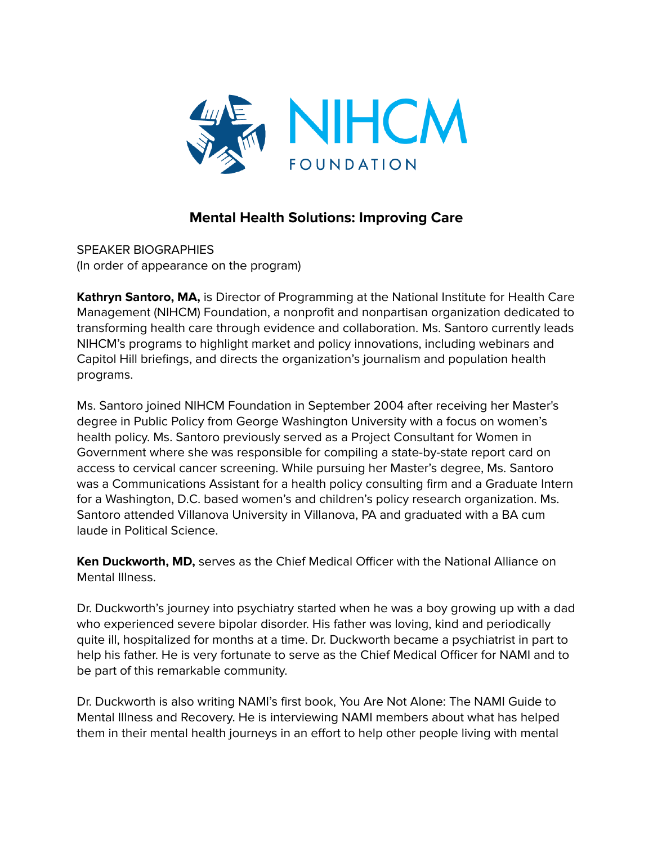

## **Mental Health Solutions: Improving Care**

SPEAKER BIOGRAPHIES (In order of appearance on the program)

**Kathryn Santoro, MA,** is Director of Programming at the National Institute for Health Care Management (NIHCM) Foundation, a nonprofit and nonpartisan organization dedicated to transforming health care through evidence and collaboration. Ms. Santoro currently leads NIHCM's programs to highlight market and policy innovations, including webinars and Capitol Hill briefings, and directs the organization's journalism and population health programs.

Ms. Santoro joined NIHCM Foundation in September 2004 after receiving her Master's degree in Public Policy from George Washington University with a focus on women's health policy. Ms. Santoro previously served as a Project Consultant for Women in Government where she was responsible for compiling a state-by-state report card on access to cervical cancer screening. While pursuing her Master's degree, Ms. Santoro was a Communications Assistant for a health policy consulting firm and a Graduate Intern for a Washington, D.C. based women's and children's policy research organization. Ms. Santoro attended Villanova University in Villanova, PA and graduated with a BA cum laude in Political Science.

**Ken Duckworth, MD,** serves as the Chief Medical Officer with the National Alliance on Mental Illness.

Dr. Duckworth's journey into psychiatry started when he was a boy growing up with a dad who experienced severe bipolar disorder. His father was loving, kind and periodically quite ill, hospitalized for months at a time. Dr. Duckworth became a psychiatrist in part to help his father. He is very fortunate to serve as the Chief Medical Officer for NAMI and to be part of this remarkable community.

Dr. Duckworth is also writing NAMI's first book, You Are Not Alone: The NAMI Guide to Mental Illness and Recovery. He is interviewing NAMI members about what has helped them in their mental health journeys in an effort to help other people living with mental